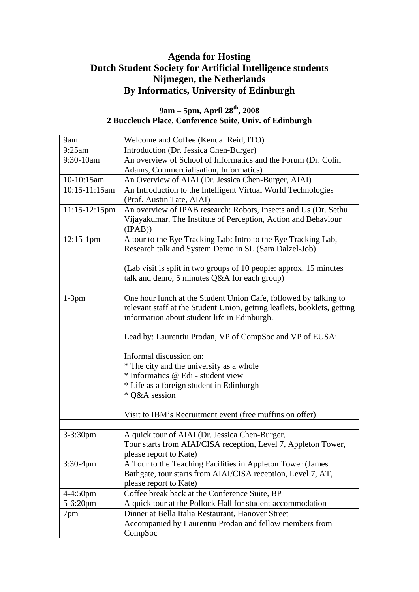# **Agenda for Hosting Dutch Student Society for Artificial Intelligence students Nijmegen, the Netherlands By Informatics, University of Edinburgh**

### **9am – 5pm, April 28th, 2008 2 Buccleuch Place, Conference Suite, Univ. of Edinburgh**

| 9am              | Welcome and Coffee (Kendal Reid, ITO)                                    |
|------------------|--------------------------------------------------------------------------|
| 9:25am           | Introduction (Dr. Jessica Chen-Burger)                                   |
| 9:30-10am        | An overview of School of Informatics and the Forum (Dr. Colin            |
|                  | Adams, Commercialisation, Informatics)                                   |
| 10-10:15am       | An Overview of AIAI (Dr. Jessica Chen-Burger, AIAI)                      |
| 10:15-11:15am    | An Introduction to the Intelligent Virtual World Technologies            |
|                  | (Prof. Austin Tate, AIAI)                                                |
| $11:15-12:15$ pm | An overview of IPAB research: Robots, Insects and Us (Dr. Sethu          |
|                  | Vijayakumar, The Institute of Perception, Action and Behaviour           |
|                  | (IPAB)                                                                   |
| $12:15-1$ pm     | A tour to the Eye Tracking Lab: Intro to the Eye Tracking Lab,           |
|                  | Research talk and System Demo in SL (Sara Dalzel-Job)                    |
|                  |                                                                          |
|                  | (Lab visit is split in two groups of 10 people: approx. 15 minutes       |
|                  | talk and demo, 5 minutes Q&A for each group)                             |
|                  |                                                                          |
| $1-3pm$          | One hour lunch at the Student Union Cafe, followed by talking to         |
|                  | relevant staff at the Student Union, getting leaflets, booklets, getting |
|                  | information about student life in Edinburgh.                             |
|                  | Lead by: Laurentiu Prodan, VP of CompSoc and VP of EUSA:                 |
|                  | Informal discussion on:                                                  |
|                  | * The city and the university as a whole                                 |
|                  | * Informatics @ Edi - student view                                       |
|                  | * Life as a foreign student in Edinburgh                                 |
|                  | * Q&A session                                                            |
|                  |                                                                          |
|                  | Visit to IBM's Recruitment event (free muffins on offer)                 |
|                  |                                                                          |
| $3 - 3:30$ pm    | A quick tour of AIAI (Dr. Jessica Chen-Burger,                           |
|                  | Tour starts from AIAI/CISA reception, Level 7, Appleton Tower,           |
|                  | please report to Kate)                                                   |
| $3:30-4$ pm      | A Tour to the Teaching Facilities in Appleton Tower (James               |
|                  | Bathgate, tour starts from AIAI/CISA reception, Level 7, AT,             |
|                  | please report to Kate)                                                   |
| $4 - 4:50$ pm    | Coffee break back at the Conference Suite, BP                            |
| 5-6:20pm         | A quick tour at the Pollock Hall for student accommodation               |
| 7pm              | Dinner at Bella Italia Restaurant, Hanover Street                        |
|                  | Accompanied by Laurentiu Prodan and fellow members from                  |
|                  | CompSoc                                                                  |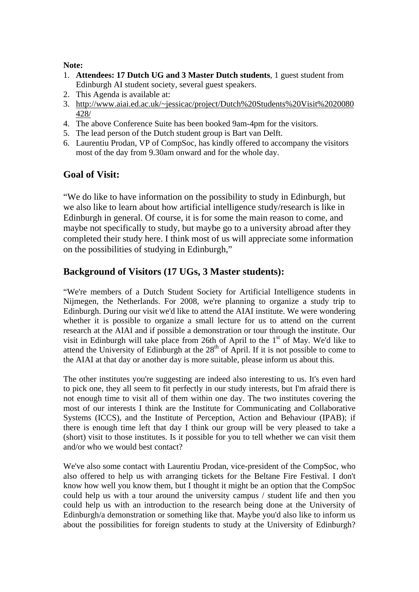#### **Note:**

- 1. **Attendees: 17 Dutch UG and 3 Master Dutch students**, 1 guest student from Edinburgh AI student society, several guest speakers.
- 2. This Agenda is available at:
- 3. http://www.aiai.ed.ac.uk/~jessicac/project/Dutch%20Students%20Visit%2020080 428/
- 4. The above Conference Suite has been booked 9am-4pm for the visitors.
- 5. The lead person of the Dutch student group is Bart van Delft.
- 6. Laurentiu Prodan, VP of CompSoc, has kindly offered to accompany the visitors most of the day from 9.30am onward and for the whole day.

#### **Goal of Visit:**

"We do like to have information on the possibility to study in Edinburgh, but we also like to learn about how artificial intelligence study/research is like in Edinburgh in general. Of course, it is for some the main reason to come, and maybe not specifically to study, but maybe go to a university abroad after they completed their study here. I think most of us will appreciate some information on the possibilities of studying in Edinburgh,"

## **Background of Visitors (17 UGs, 3 Master students):**

"We're members of a Dutch Student Society for Artificial Intelligence students in Nijmegen, the Netherlands. For 2008, we're planning to organize a study trip to Edinburgh. During our visit we'd like to attend the AIAI institute. We were wondering whether it is possible to organize a small lecture for us to attend on the current research at the AIAI and if possible a demonstration or tour through the institute. Our visit in Edinburgh will take place from 26th of April to the  $1<sup>st</sup>$  of May. We'd like to attend the University of Edinburgh at the  $28<sup>th</sup>$  of April. If it is not possible to come to the AIAI at that day or another day is more suitable, please inform us about this.

The other institutes you're suggesting are indeed also interesting to us. It's even hard to pick one, they all seem to fit perfectly in our study interests, but I'm afraid there is not enough time to visit all of them within one day. The two institutes covering the most of our interests I think are the Institute for Communicating and Collaborative Systems (ICCS), and the Institute of Perception, Action and Behaviour (IPAB); if there is enough time left that day I think our group will be very pleased to take a (short) visit to those institutes. Is it possible for you to tell whether we can visit them and/or who we would best contact?

We've also some contact with Laurentiu Prodan, vice-president of the CompSoc, who also offered to help us with arranging tickets for the Beltane Fire Festival. I don't know how well you know them, but I thought it might be an option that the CompSoc could help us with a tour around the university campus / student life and then you could help us with an introduction to the research being done at the University of Edinburgh/a demonstration or something like that. Maybe you'd also like to inform us about the possibilities for foreign students to study at the University of Edinburgh?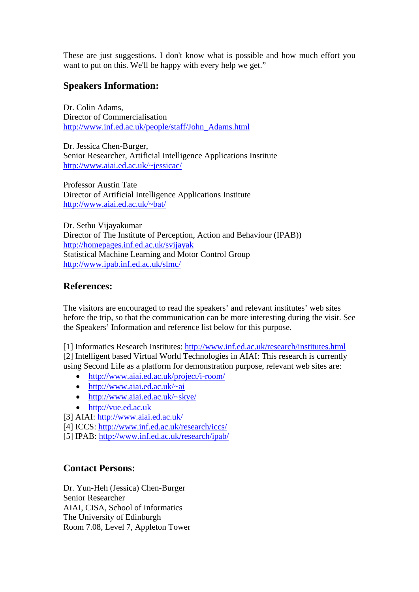These are just suggestions. I don't know what is possible and how much effort you want to put on this. We'll be happy with every help we get."

## **Speakers Information:**

Dr. Colin Adams, Director of Commercialisation http://www.inf.ed.ac.uk/people/staff/John\_Adams.html

Dr. Jessica Chen-Burger, Senior Researcher, Artificial Intelligence Applications Institute http://www.aiai.ed.ac.uk/~jessicac/

Professor Austin Tate Director of Artificial Intelligence Applications Institute http://www.aiai.ed.ac.uk/~bat/

Dr. Sethu Vijayakumar Director of The Institute of Perception, Action and Behaviour (IPAB)) http://homepages.inf.ed.ac.uk/svijayak Statistical Machine Learning and Motor Control Group http://www.ipab.inf.ed.ac.uk/slmc/

## **References:**

The visitors are encouraged to read the speakers' and relevant institutes' web sites before the trip, so that the communication can be more interesting during the visit. See the Speakers' Information and reference list below for this purpose.

[1] Informatics Research Institutes: http://www.inf.ed.ac.uk/research/institutes.html [2] Intelligent based Virtual World Technologies in AIAI: This research is currently using Second Life as a platform for demonstration purpose, relevant web sites are:

- http://www.aiai.ed.ac.uk/project/i-room/
- http://www.aiai.ed.ac.uk/~ai
- http://www.aiai.ed.ac.uk/~skye/
- http://vue.ed.ac.uk
- [3] AIAI: http://www.aiai.ed.ac.uk/
- [4] ICCS: http://www.inf.ed.ac.uk/research/iccs/
- [5] IPAB: http://www.inf.ed.ac.uk/research/ipab/

#### **Contact Persons:**

Dr. Yun-Heh (Jessica) Chen-Burger Senior Researcher AIAI, CISA, School of Informatics The University of Edinburgh Room 7.08, Level 7, Appleton Tower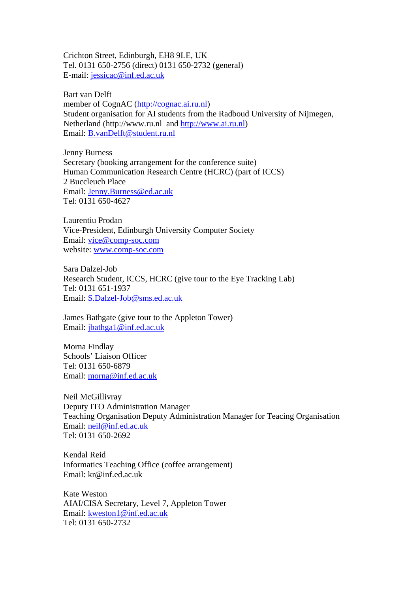Crichton Street, Edinburgh, EH8 9LE, UK Tel. 0131 650-2756 (direct) 0131 650-2732 (general) E-mail: jessicac@inf.ed.ac.uk

Bart van Delft member of CognAC (http://cognac.ai.ru.nl) Student organisation for AI students from the Radboud University of Nijmegen, Netherland (http://www.ru.nl and http://www.ai.ru.nl) Email: B.vanDelft@student.ru.nl

Jenny Burness Secretary (booking arrangement for the conference suite) Human Communication Research Centre (HCRC) (part of ICCS) 2 Buccleuch Place Email: Jenny.Burness@ed.ac.uk Tel: 0131 650-4627

Laurentiu Prodan Vice-President, Edinburgh University Computer Society Email: vice@comp-soc.com website: www.comp-soc.com

Sara Dalzel-Job Research Student, ICCS, HCRC (give tour to the Eye Tracking Lab) Tel: 0131 651-1937 Email: S.Dalzel-Job@sms.ed.ac.uk

James Bathgate (give tour to the Appleton Tower) Email: jbathga1@inf.ed.ac.uk

Morna Findlay Schools' Liaison Officer Tel: 0131 650-6879 Email: morna@inf.ed.ac.uk

Neil McGillivray Deputy ITO Administration Manager Teaching Organisation Deputy Administration Manager for Teacing Organisation Email: neil@inf.ed.ac.uk Tel: 0131 650-2692

Kendal Reid Informatics Teaching Office (coffee arrangement) Email: kr@inf.ed.ac.uk

Kate Weston AIAI/CISA Secretary, Level 7, Appleton Tower Email: kweston1@inf.ed.ac.uk Tel: 0131 650-2732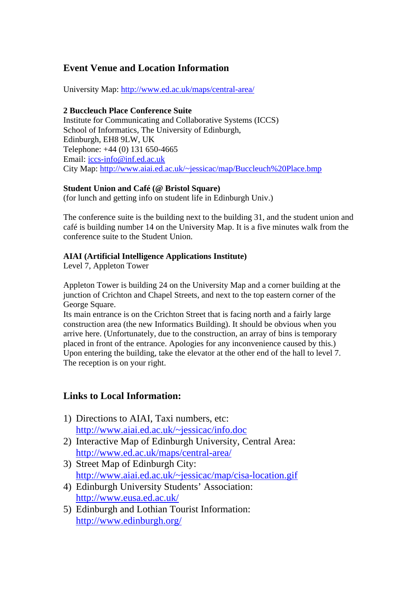# **Event Venue and Location Information**

University Map: http://www.ed.ac.uk/maps/central-area/

#### **2 Buccleuch Place Conference Suite**

Institute for Communicating and Collaborative Systems (ICCS) School of Informatics, The University of Edinburgh, Edinburgh, EH8 9LW, UK Telephone: +44 (0) 131 650-4665 Email: iccs-info@inf.ed.ac.uk City Map: http://www.aiai.ed.ac.uk/~jessicac/map/Buccleuch%20Place.bmp

#### **Student Union and Café (@ Bristol Square)**

(for lunch and getting info on student life in Edinburgh Univ.)

The conference suite is the building next to the building 31, and the student union and café is building number 14 on the University Map. It is a five minutes walk from the conference suite to the Student Union.

#### **AIAI (Artificial Intelligence Applications Institute)**

Level 7, Appleton Tower

Appleton Tower is building 24 on the University Map and a corner building at the junction of Crichton and Chapel Streets, and next to the top eastern corner of the George Square.

Its main entrance is on the Crichton Street that is facing north and a fairly large construction area (the new Informatics Building). It should be obvious when you arrive here. (Unfortunately, due to the construction, an array of bins is temporary placed in front of the entrance. Apologies for any inconvenience caused by this.) Upon entering the building, take the elevator at the other end of the hall to level 7. The reception is on your right.

## **Links to Local Information:**

- 1) Directions to AIAI, Taxi numbers, etc: http://www.aiai.ed.ac.uk/~jessicac/info.doc
- 2) Interactive Map of Edinburgh University, Central Area: http://www.ed.ac.uk/maps/central-area/
- 3) Street Map of Edinburgh City: http://www.aiai.ed.ac.uk/~jessicac/map/cisa-location.gif
- 4) Edinburgh University Students' Association: http://www.eusa.ed.ac.uk/
- 5) Edinburgh and Lothian Tourist Information: http://www.edinburgh.org/